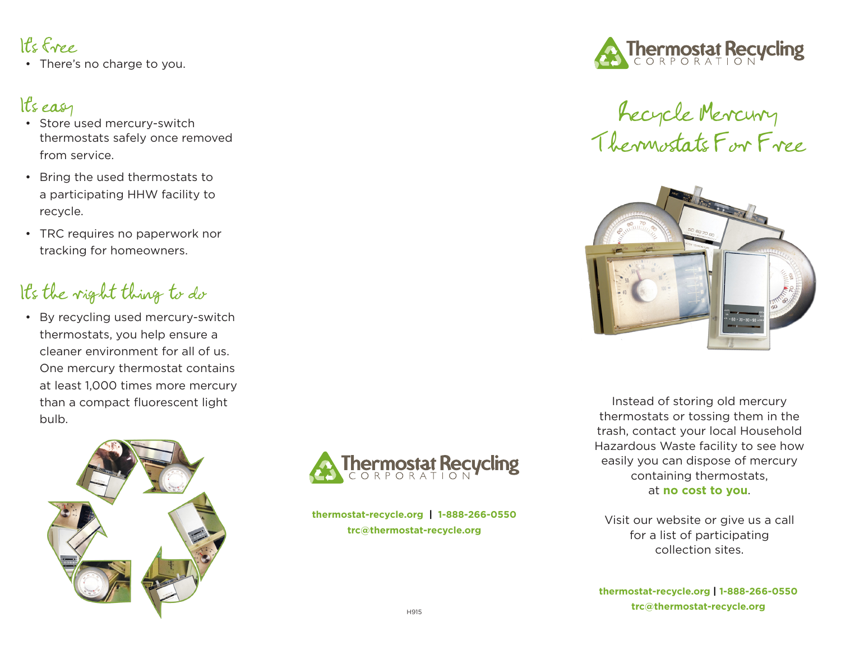## It's free

• There's no charge to you.

### It's easy

- Store used mercury-switch thermostats safely once removed from service.
- Bring the used thermostats to a participating HHW facility to recycle.
- TRC requires no paperwork nor tracking for homeowners.

## It's the right thing to do

• By recycling used mercury-switch thermostats, you help ensure a cleaner environment for all of us. One mercury thermostat contains at least 1,000 times more mercury than a compact fluorescent light bulb.





**thermostat-recycle.org | 1-888-266-0550 trc@thermostat-recycle.org**



# Recycle Mercury Thermostats For Free



Instead of storing old mercury thermostats or tossing them in the trash, contact your local Household Hazardous Waste facility to see how easily you can dispose of mercury containing thermostats, at **no cost to you**.

Visit our website or give us a call for a list of participating collection sites.

**thermostat-recycle.org | 1-888-266-0550 trc@thermostat-recycle.org**